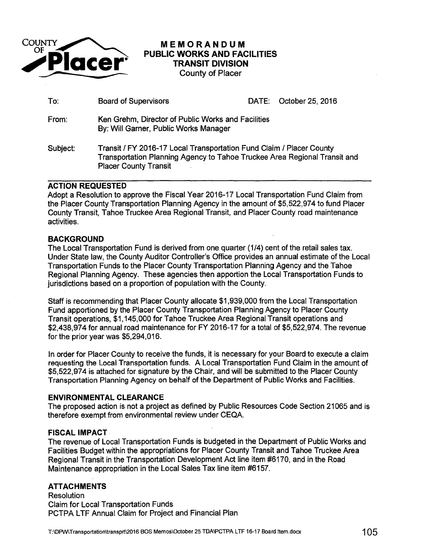

# **MEMORANDUM PUBLIC WORKS AND FACILITIES TRANSIT DIVISION**  County of Placer

| To:      | <b>Board of Supervisors</b>                                                                 |                                                                                                                                                   | DATE: October 25, 2016 |  |  |
|----------|---------------------------------------------------------------------------------------------|---------------------------------------------------------------------------------------------------------------------------------------------------|------------------------|--|--|
| From:    | Ken Grehm, Director of Public Works and Facilities<br>By: Will Garner, Public Works Manager |                                                                                                                                                   |                        |  |  |
| Subject: | <b>Placer County Transit</b>                                                                | Transit / FY 2016-17 Local Transportation Fund Claim / Placer County<br>Transportation Planning Agency to Tahoe Truckee Area Regional Transit and |                        |  |  |

# **ACTION REQUESTED**

Adopt a Resolution to approve the Fiscal Year 2016-17 Local Transportation Fund Claim from the Placer County Transportation Planning Agency in the amount of \$5,522,974 to fund Placer County Transit, Tahoe Truckee Area Regional Transit, and Placer County road maintenance activities.

# **BACKGROUND**

The Local Transportation Fund is derived from one quarter (114) cent of the retail sales tax. Under State law, the County Auditor Controller's Office provides an annual estimate of the Local Transportation Funds to the Placer County Transportation Planning Agency and the Tahoe Regional Planning Agency. These agencies then apportion the Local Transportation Funds to jurisdictions based on a proportion of population with the County.

Staff is recommending that Placer County allocate \$1,939,000 from the Local Transportation Fund apportioned by the Placer County Transportation Planning Agency to Placer County Transit operations, \$1, 145,000 for Tahoe Truckee Area Regional Transit operations and \$2,438,974 for annual road maintenance for FY 2016-17 for a total of \$5,522,974. The revenue for the prior year was \$5,294,016.

In order for Placer County to receive the funds, it is necessary for your Board to execute a claim requesting the Local Transportation funds. A Local Transportation Fund Claim in the amount of \$5,522,974 is attached for signature by the Chair, and will be submitted to the Placer County Transportation Planning Agency on behalf of the Department of Public Works and Facilities.

## **ENVIRONMENTAL CLEARANCE**

The proposed action is not a project as defined by Public Resources Code Section 21065 and is therefore exempt from environmental review under CEQA.

## **FISCAL IMPACT**

The revenue of Local Transportation Funds is budgeted in the Department of Public Works and Facilities Budget within the appropriations for Placer County Transit and Tahoe Truckee Area Regional Transit in the Transportation Development Act line item #6170, and in the Road Maintenance appropriation in the Local Sales Tax line item #6157.

# **ATTACHMENTS**

Resolution Claim for Local Transportation Funds PCTPA LTF Annual Claim for Project and Financial Plan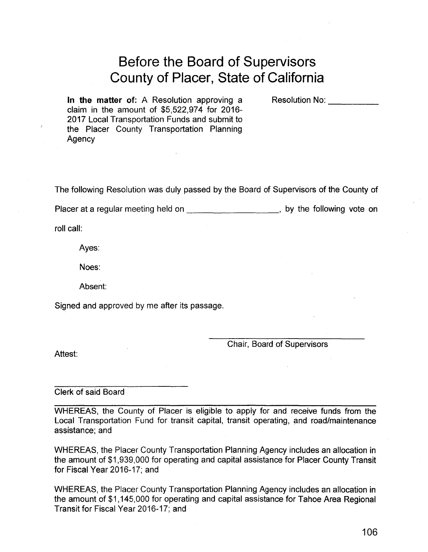# **Before the Board of Supervisors County of Placer, State of California**

**In the matter** of: A Resolution approving a claim in the amount of \$5,522,974 for 2016- 2017 Local Transportation Funds and submit to the Placer County Transportation Planning Agency

Resolution No:

The following Resolution was duly passed by the Board of Supervisors of the County of

Placer at a regular meeting held on \_\_\_\_\_\_\_\_\_\_\_\_\_\_\_\_\_\_\_\_\_\_\_, by the following vote on

roll call:

Ayes:

Noes:

Absent:

Signed and approved by me after its passage.

Chair, Board of Supervisors

Attest:

Clerk of said Board

WHEREAS, the County of Placer is eligible to apply for and receive funds from the Local Transportation Fund for transit capital, transit operating, and road/maintenance assistance; and

WHEREAS, the Placer County Transportation Planning Agency includes an allocation in the amount of \$1,939,000 for operating and capital assistance for Placer County Transit for Fiscal Year 2016-17; and

WHEREAS, the Placer County Transportation Planning Agency includes an allocation in the amount of \$1,145,000 for operating and capital assistance for Tahoe Area Regional Transit for Fiscal Year 2016-17; and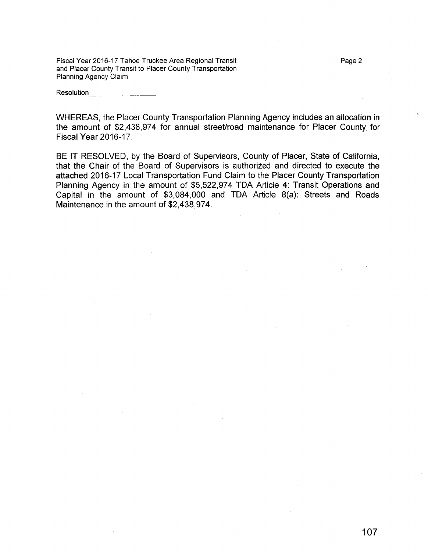Fiscal Year 2016-17 Tahoe Truckee Area Regional Transit and Placer County Transit to Placer County Transportation Planning Agency Claim

Resolution\_

WHEREAS, the Placer County Transportation Planning Agency includes an allocation in the amount of \$2,438,974 for annual street/road maintenance for Placer County for Fiscal Year 2016-17.

BE IT RESOLVED, by the Board of Supervisors, County of Placer, State of California, that the Chair of the Board of Supervisors is authorized and directed to execute the attached 2016-17 Local Transportation Fund Claim to the Placer County Transportation Planning Agency in the amount of \$5,522,974 TDA Article 4: Transit Operations and Capital in the amount of \$3,084,000 and TDA Article 8(a): Streets and Roads Maintenance in the amount of \$2,438,974.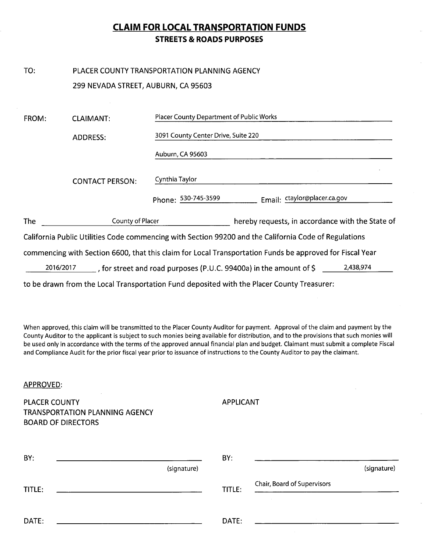# **CLAIM FOR LOCAL TRANSPORTATION FUNDS STREETS & ROADS PURPOSES**

#### TO: PLACER COUNTY TRANSPORTATION PLANNING AGENCY 299 NEVADA STREET, AUBURN, CA 95603

| FROM:      | <b>CLAIMANT:</b>       | Placer County Department of Public Works                                                                 |
|------------|------------------------|----------------------------------------------------------------------------------------------------------|
|            | <b>ADDRESS:</b>        | 3091 County Center Drive, Suite 220                                                                      |
|            |                        | Auburn, CA 95603                                                                                         |
|            | <b>CONTACT PERSON:</b> | Cynthia Taylor                                                                                           |
|            |                        | Email: ctaylor@placer.ca.gov<br>Phone: 530-745-3599                                                      |
| <b>The</b> | County of Placer       | hereby requests, in accordance with the State of                                                         |
|            |                        | California Public Utilities Code commencing with Section 99200 and the California Code of Regulations    |
|            |                        | commencing with Section 6600, that this claim for Local Transportation Funds be approved for Fiscal Year |
|            | 2016/2017              | 2,438,974<br>, for street and road purposes (P.U.C. 99400a) in the amount of $\zeta$                     |
|            |                        | to be drawn from the Local Transportation Fund deposited with the Placer County Treasurer:               |

When approved, this claim will be transmitted to the Placer County Auditor for payment. Approval of the claim and payment by the County Auditor to the applicant is subject to such monies being available for distribution, and to the provisions that such monies will be used only in accordance with the terms of the approved annual financial plan and budget. Claimant must submit a complete Fiscal and Compliance Audit for the prior fiscal year prior to issuance of instructions to the County Auditor to pay the claimant.

#### **APPROVED:**

**PLACER COUNTY TRANSPORTATION PLANNING AGENCY BOARD OF DIRECTORS** 

**APPLICANT** 

| BY:    |             | BY:    |                             |
|--------|-------------|--------|-----------------------------|
|        | (signature) |        | (signature)                 |
| TITLE: |             | TITLE: | Chair, Board of Supervisors |
| DATE:  |             | DATE:  |                             |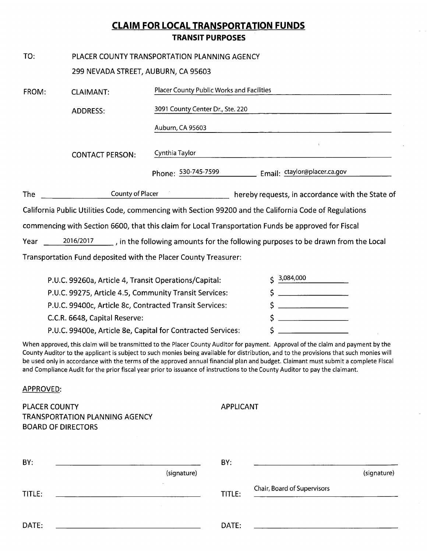# **CLAIM FOR LOCAL TRANSPORTATION FUNDS TRANSIT PURPOSES**

| TO:                                                    | PLACER COUNTY TRANSPORTATION PLANNING AGENCY            |                                                                                                     |                                                                                                                                  |  |
|--------------------------------------------------------|---------------------------------------------------------|-----------------------------------------------------------------------------------------------------|----------------------------------------------------------------------------------------------------------------------------------|--|
|                                                        | 299 NEVADA STREET, AUBURN, CA 95603                     |                                                                                                     |                                                                                                                                  |  |
| FROM:                                                  | <b>CLAIMANT:</b>                                        | Placer County Public Works and Facilities                                                           |                                                                                                                                  |  |
|                                                        | <b>ADDRESS:</b>                                         | 3091 County Center Dr., Ste. 220                                                                    |                                                                                                                                  |  |
|                                                        |                                                         | Auburn, CA 95603                                                                                    |                                                                                                                                  |  |
|                                                        | <b>CONTACT PERSON:</b>                                  | Cynthia Taylor                                                                                      | $\bar{\chi}$                                                                                                                     |  |
|                                                        |                                                         | Phone: 530-745-7599 Email: ctaylor@placer.ca.gov                                                    |                                                                                                                                  |  |
| The                                                    |                                                         | <b>County of Placer County of Placer</b>                                                            | hereby requests, in accordance with the State of                                                                                 |  |
|                                                        |                                                         |                                                                                                     | California Public Utilities Code, commencing with Section 99200 and the California Code of Regulations                           |  |
|                                                        |                                                         | commencing with Section 6600, that this claim for Local Transportation Funds be approved for Fiscal |                                                                                                                                  |  |
| Year                                                   |                                                         |                                                                                                     | $2016/2017$ , in the following amounts for the following purposes to be drawn from the Local                                     |  |
|                                                        |                                                         | Transportation Fund deposited with the Placer County Treasurer:                                     |                                                                                                                                  |  |
|                                                        | P.U.C. 99260a, Article 4, Transit Operations/Capital:   |                                                                                                     | 3,084,000                                                                                                                        |  |
| P.U.C. 99275, Article 4.5, Community Transit Services: |                                                         | \$                                                                                                  |                                                                                                                                  |  |
|                                                        | P.U.C. 99400c, Article 8c, Contracted Transit Services: |                                                                                                     | \$<br><u> Alexandria (Carlo Carlo Carlo)</u>                                                                                     |  |
|                                                        | C.C.R. 6648, Capital Reserve:                           |                                                                                                     | \$<br><u> 2000 - Jan James James Jan James James James James James James James James James James James James James James</u>     |  |
|                                                        |                                                         | P.U.C. 99400e, Article 8e, Capital for Contracted Services:                                         |                                                                                                                                  |  |
|                                                        |                                                         |                                                                                                     | When approved, this claim will be transmitted to the Placer County Auditor for payment. Approval of the claim and payment by the |  |

ין קו ημμ . ha ) County Auditor to the applicant is subject to such monies being available for distribution, and to the provisions that such monies will be used only in accordance with the terms of the approved annual financial plan and budget. Claimant must submit a complete Fiscal and Compliance Audit for the prior fiscal year prior to issuance of instructions to the County Auditor to pay the claimant.

## APPROVED:

**PLACER COUNTY** TRANSPORTATION PLANNING AGENCY **BOARD OF DIRECTORS** 

| <b>APPLICANT</b> |
|------------------|

| BY:    | (signature) | BY:    | (signature)                 |
|--------|-------------|--------|-----------------------------|
| TITLE: | $\lambda$   | TITLE: | Chair, Board of Supervisors |
| DATE:  |             | DATE:  |                             |